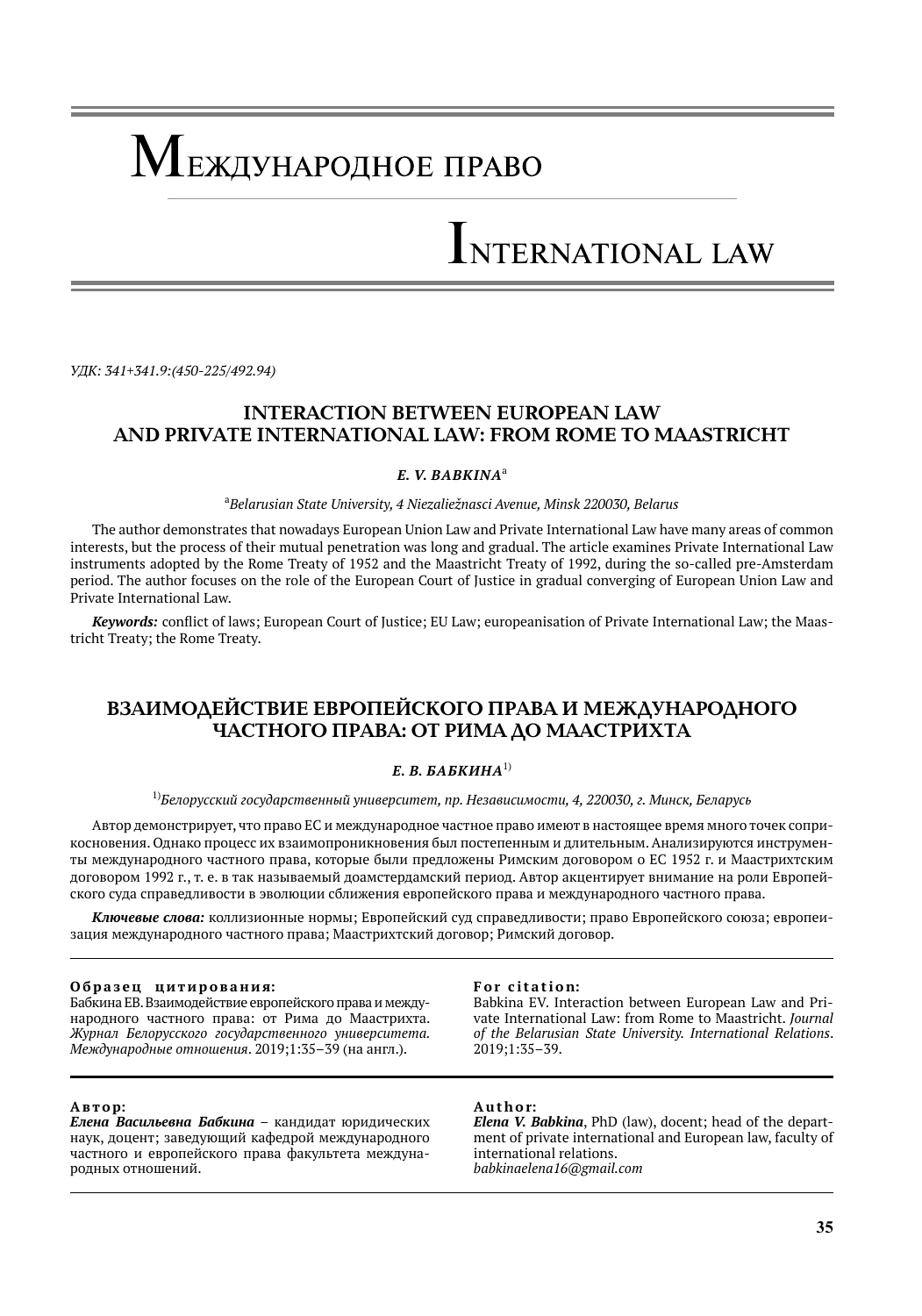# Международное право

# INTERNATIONAL LAW

*УДК: 341+341.9:(450-225/492.94)*

# **INTERACTION BETWEEN EUROPEAN LAW AND PRIVATE INTERNATIONAL LAW: FROM ROME TO MAASTRICHT**

### *E. V. Babkina*<sup>a</sup>

a *Belarusian State University, 4 Niezaliežnasci Avenue, Minsk 220030, Belarus*

The author demonstrates that nowadays European Union Law and Private International Law have many areas of common interests, but the process of their mutual penetration was long and gradual. The article examines Private International Law instruments adopted by the Rome Treaty of 1952 and the Maastricht Treaty of 1992, during the so-called pre-Amsterdam period. The author focuses on the role of the European Court of Justice in gradual converging of European Union Law and Private International Law.

*Keywords:* conflict of laws; European Court of Justice; EU Law; europeanisation of Private International Law; the Maastricht Treaty; the Rome Treaty.

# **ВЗАИМОДЕЙСТВИЕ ЕВРОПЕЙСКОГО ПРАВА И МЕЖДУНАРОДНОГО ЧАСТНОГО ПРАВА: ОТ РИМА ДО МААСТРИХТА**

# *Е. В. Бабкина*1)

#### 1)*Белорусский государственный университет, пр. Независимости, 4, 220030, г. Минск, Беларусь*

Автор демонстрирует, что право ЕС и международное частное право имеют в настоящее время много точек соприкосновения. Однако процесс их взаимопроникновения был постепенным и длительным. Анализируются инструменты международного частного права, которые были предложены Римским договором о ЕС 1952 г. и Маастрихтским договором 1992 г., т. е. в так называемый доамстердамский период. Автор акцентирует внимание на роли Европейского суда справедливости в эволюции сближения европейского права и международного частного права.

*Ключевые слова:* коллизионные нормы; Европейский суд справедливости; право Европейского союза; европеизация международного частного права; Маастрихтский договор; Римский договор.

#### Образец цитирования:

Бабкина ЕВ. Взаимодействие европейского права и международного частного права: от Рима до Маастрихта. *Журнал Белорусского государственного университета. Международные отношения*. 2019;1:35–39 (на англ.).

#### **А в т о р:**

*Елена Васильевна Бабкина* – кандидат юридических наук, доцент; заведующий кафедрой международного частного и европейского права факультета международных отношений.

#### For citation:

Babkina EV. Interaction between European Law and Private International Law: from Rome to Maastricht. *Journal of the Belarusian State University. International Relations*. 2019;1:35–39.

#### **A u t h o r:**

*Elena V. Babkina*, PhD (law), docent; head of the department of private international and European law, faculty of international relations. *babkinaelena16@gmail.com*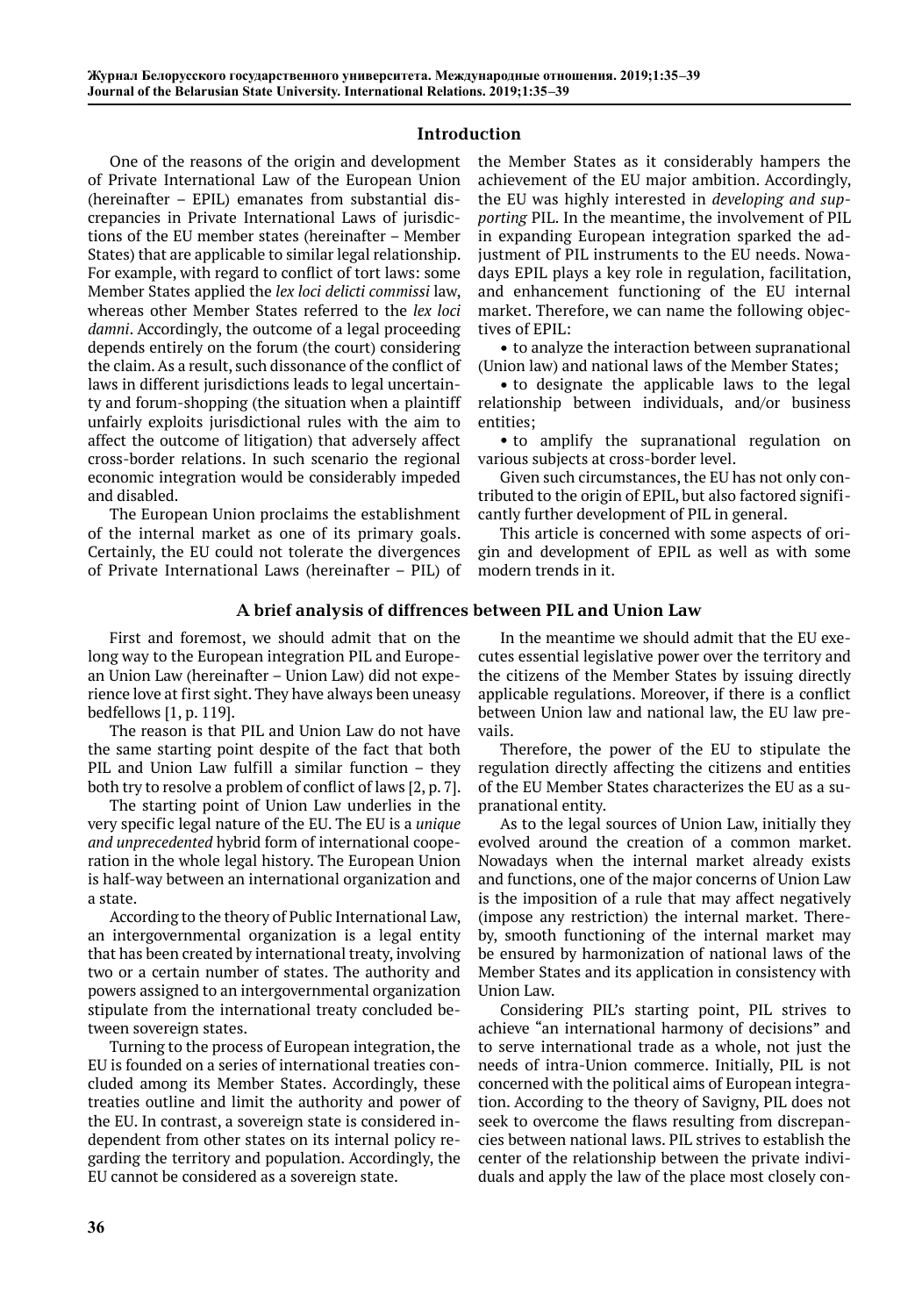## **Introduction**

One of the reasons of the origin and development of Private International Law of the European Union (hereinafter – EPIL) emanates from substantial discrepancies in Private International Laws of jurisdictions of the EU member states (hereinafter – Member States) that are applicable to similar legal relationship. For example, with regard to conflict of tort laws: some Member States applied the *lex loci delicti commissi* law, whereas other Member States referred to the *lex loci damni*. Accordingly, the outcome of a legal proceeding depends entirely on the forum (the court) considering the claim. As a result, such dissonance of the conflict of laws in different jurisdictions leads to legal uncertainty and forum-shopping (the situation when a plaintiff unfairly exploits jurisdictional rules with the aim to affect the outcome of litigation) that adversely affect cross-border relations. In such scenario the regional economic integration would be considerably impeded and disabled.

The European Union proclaims the establishment of the internal market as one of its primary goals. Certainly, the EU could not tolerate the divergences of Private International Laws (hereinafter – PIL) of

### **A brief analysis of diffrences between PIL and Union Law**

First and foremost, we should admit that on the long way to the European integration PIL and European Union Law (hereinafter – Union Law) did not experience love at first sight. They have always been uneasy bedfellows [1, р. 119].

The reason is that PIL and Union Law do not have the same starting point despite of the fact that both PIL and Union Law fulfill a similar function - they both try to resolve a problem of conflict of laws [2, р. 7].

The starting point of Union Law underlies in the very specific legal nature of the EU. The EU is a *unique and unprecedented* hybrid form of international cooperation in the whole legal history. The European Union is half-way between an international organization and a state.

According to the theory of Public International Law, an intergovernmental organization is a legal entity that has been created by international treaty, involving two or a certain number of states. The authority and powers assigned to an intergovernmental organization stipulate from the international treaty concluded between sovereign states.

Turning to the process of European integration, the EU is founded on a series of international treaties concluded among its Member States. Accordingly, these treaties outline and limit the authority and power of the EU. In contrast, a sovereign state is considered independent from other states on its internal policy regarding the territory and population. Accordingly, the EU cannot be considered as a sovereign state.

the Member States as it considerably hampers the achievement of the EU major ambition. Accordingly, the EU was highly interested in *developing and supporting* PIL. In the meantime, the involvement of PIL in expanding European integration sparked the adjustment of PIL instruments to the EU needs. Nowadays EPIL plays a key role in regulation, facilitation, and enhancement functioning of the EU internal market. Therefore, we can name the following objectives of EPIL:

• to analyze the interaction between supranational (Union law) and national laws of the Member States;

• to designate the applicable laws to the legal relationship between individuals, and/or business entities;

• to amplify the supranational regulation on various subjects at cross-border level.

Given such circumstances, the EU has not only contributed to the origin of EPIL, but also factored significantly further development of PIL in general.

This article is concerned with some aspects of origin and development of EPIL as well as with some modern trends in it.

In the meantime we should admit that the EU executes essential legislative power over the territory and the citizens of the Member States by issuing directly applicable regulations. Moreover, if there is a conflict between Union law and national law, the EU law prevails.

Therefore, the power of the EU to stipulate the regulation directly affecting the citizens and entities of the EU Member States characterizes the EU as a supranational entity.

As to the legal sources of Union Law, initially they evolved around the creation of а common market. Nowadays when the internal market already exists and functions, one of the major concerns of Union Law is the imposition of a rule that may affect negatively (impose any restriction) the internal market. Thereby, smooth functioning of the internal market may be ensured by harmonization of national laws of the Member States and its application in consistency with Union Law.

Considering PIL's starting point, PIL strives to achieve "an international harmony of decisions" and to serve international trade as a whole, not just the needs of intra-Union commerce. Initially, PIL is not concerned with the political aims of European integration. According to the theory of Savigny, PIL does not seek to overcome the flaws resulting from discrepancies between national laws. PIL strives to establish the center of the relationship between the private individuals and apply the law of the place most closely con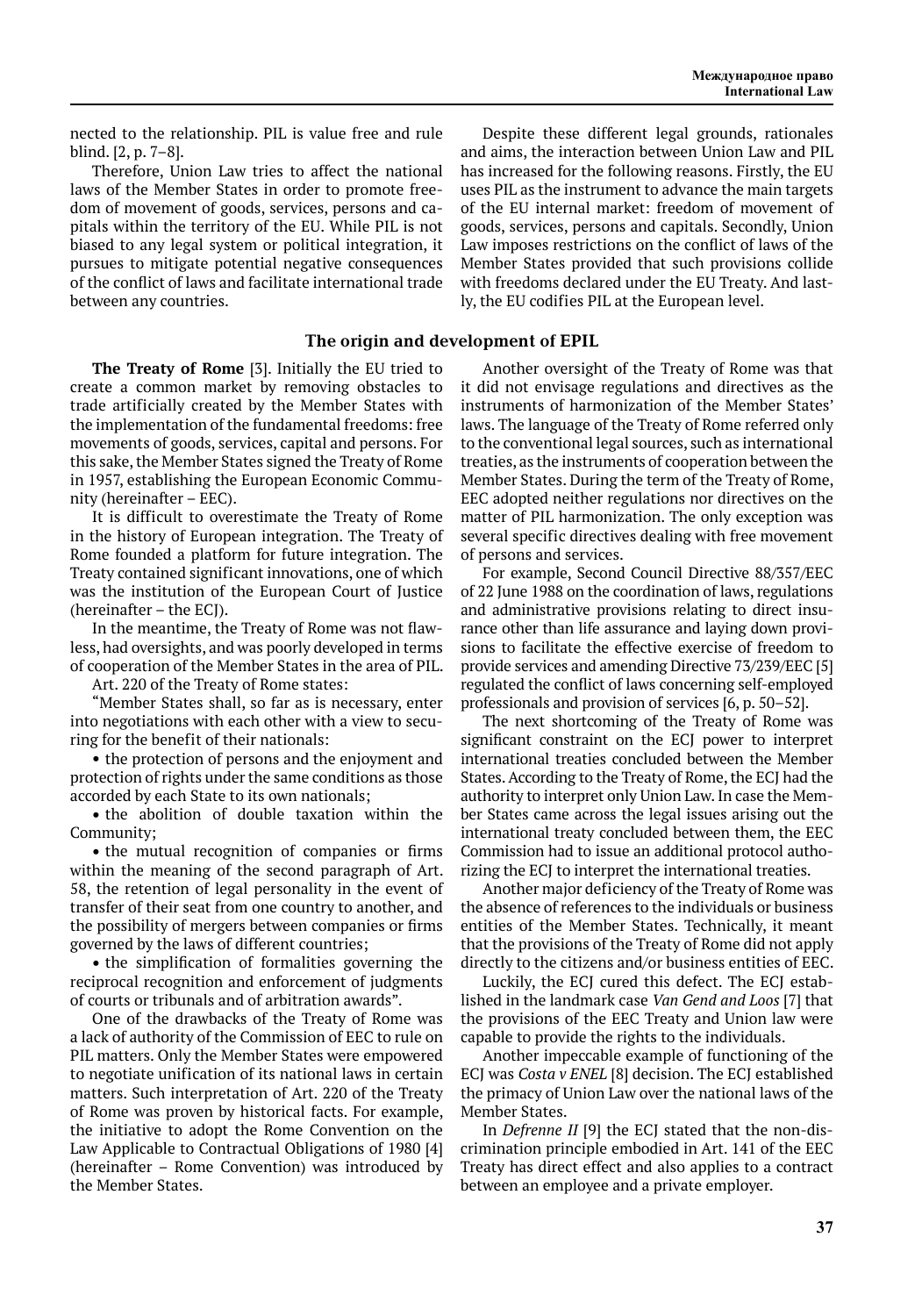nected to the relationship. PIL is value free and rule blind. [2, p. 7–8].

Therefore, Union Law tries to affect the national laws of the Member States in order to promote freedom of movement of goods, services, persons and capitals within the territory of the EU. While PIL is not biased to any legal system or political integration, it pursues to mitigate potential negative consequences of the conflict of laws and facilitate international trade between any countries.

#### **The origin and development of EPIL**

**The Treaty of Rome** [3]. Initially the EU tried to create a common market by removing obstacles to trade artificially created by the Member States with the implementation of the fundamental freedoms: free movements of goods, services, capital and persons. For this sake, the Member States signed the Treaty of Rome in 1957, establishing the European Economic Community (hereinafter – EEC).

It is difficult to overestimate the Treaty of Rome in the history of European integration. The Treaty of Rome founded a platform for future integration. The Treaty contained significant innovations, one of which was the institution of the European Court of Justice (hereinafter – the ECJ).

In the meantime, the Treaty of Rome was not flawless, had oversights, and was poorly developed in terms of cooperation of the Member States in the area of PIL.

Art. 220 of the Treaty of Rome states:

"Member States shall, so far as is necessary, enter into negotiations with each other with a view to securing for the benefit of their nationals:

• the protection of persons and the enjoyment and protection of rights under the same conditions as those accorded by each State to its own nationals;

• the abolition of double taxation within the Community;

• the mutual recognition of companies or firms within the meaning of the second paragraph of Art. 58, the retention of legal personality in the event of transfer of their seat from one country to another, and the possibility of mergers between companies or firms governed by the laws of different countries;

• the simplification of formalities governing the reciprocal recognition and enforcement of judgments of courts or tribunals and of arbitration awards".

One of the drawbacks of the Treaty of Rome was a lack of authority of the Commission of EEC to rule on PIL matters. Only the Member States were empowered to negotiate unification of its national laws in certain matters. Such interpretation of Art. 220 of the Treaty of Rome was proven by historical facts. For example, the initiative to adopt the Rome Convention on the Law Applicable to Contractual Obligations of 1980 [4] (hereinafter – Rome Convention) was introduced by the Member States.

Despite these different legal grounds, rationales and aims, the interaction between Union Law and PIL has increased for the following reasons. Firstly, the EU uses PIL as the instrument to advance the main targets of the EU internal market: freedom of movement of goods, services, persons and capitals. Secondly, Union Law imposes restrictions on the conflict of laws of the Member States provided that such provisions collide with freedoms declared under the EU Treaty. And lastly, the EU codifies PIL at the European level.

Another oversight of the Treaty of Rome was that it did not envisage regulations and directives as the instruments of harmonization of the Member States' laws. The language of the Treaty of Rome referred only to the conventional legal sources, such as international treaties, as the instruments of cooperation between the Member States. During the term of the Treaty of Rome, EEC adopted neither regulations nor directives on the matter of PIL harmonization. The only exception was several specific directives dealing with free movement of persons and services.

For example, Second Council Directive 88/357/EEC of 22 June 1988 on the coordination of laws, regulations and administrative provisions relating to direct insurance other than life assurance and laying down provisions to facilitate the effective exercise of freedom to provide services and amending Directive 73/239/EEC [5] regulated the conflict of laws concerning self-employed professionals and provision of services [6, p. 50–52].

The next shortcoming of the Treaty of Rome was significant constraint on the ECJ power to interpret international treaties concluded between the Member States. According to the Treaty of Rome, the ECJ had the authority to interpret only Union Law. In case the Member States came across the legal issues arising out the international treaty concluded between them, the EEC Commission had to issue an additional protocol authorizing the ECJ to interpret the international treaties.

Another major deficiency of the Treaty of Rome was the absence of references to the individuals or business entities of the Member States. Technically, it meant that the provisions of the Treaty of Rome did not apply directly to the citizens and/or business entities of EEC.

Luckily, the ECJ cured this defect. The ECJ established in the landmark case *Van Gend and Loos* [7] that the provisions of the EEC Treaty and Union law were capable to provide the rights to the individuals.

Another impeccable example of functioning of the ECJ was *Costa v ENEL* [8] decision. The ECJ established the primacy of Union Law over the national laws of the Member States.

In *Defrenne II* [9] the ECJ stated that the non-discrimination principle embodied in Art. 141 of the EEC Treaty has direct effect and also applies to a contract between an employee and a private employer.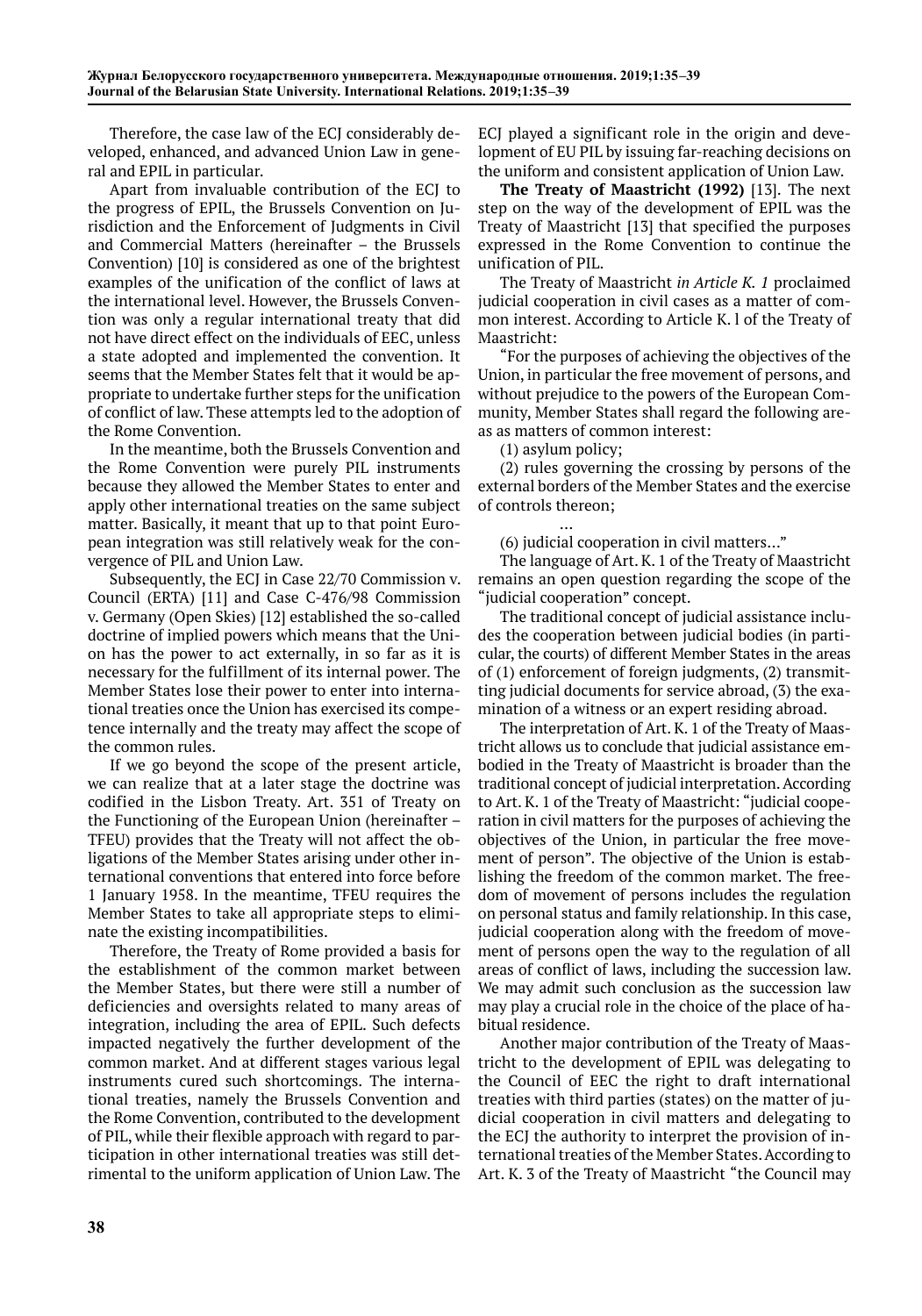Therefore, the case law of the ECJ considerably developed, enhanced, and advanced Union Law in general and EPIL in particular.

Apart from invaluable contribution of the ECJ to the progress of EPIL, the Brussels Convention on Jurisdiction and the Enforcement of Judgments in Civil and Commercial Matters (hereinafter – the Brussels Convention) [10] is considered as one of the brightest examples of the unification of the conflict of laws at the international level. However, the Brussels Convention was only a regular international treaty that did not have direct effect on the individuals of EEC, unless a state adopted and implemented the convention. It seems that the Member States felt that it would be appropriate to undertake further steps for the unification of conflict of law. These attempts led to the adoption of the Rome Convention.

In the meantime, both the Brussels Convention and the Rome Convention were purely PIL instruments because they allowed the Member States to enter and apply other international treaties on the same subject matter. Basically, it meant that up to that point European integration was still relatively weak for the convergence of PIL and Union Law.

Subsequently, the ECJ in Case 22/70 Commission v. Council (ERTA) [11] and Case C-476/98 Commission v. Germany (Open Skies) [12] established the so-called doctrine of implied powers which means that the Union has the power to act externally, in so far as it is necessary for the fulfillment of its internal power. The Member States lose their power to enter into international treaties once the Union has exercised its competence internally and the treaty may affect the scope of the common rules.

If we go beyond the scope of the present article, we can realize that at a later stage the doctrine was codified in the Lisbon Treaty. Art. 351 of Treaty on the Functioning of the European Union (hereinafter – TFEU) provides that the Treaty will not affect the obligations of the Member States arising under other international conventions that entered into force before 1 January 1958. In the meantime, TFEU requires the Member States to take all appropriate steps to eliminate the existing incompatibilities.

Therefore, the Treaty of Rome provided a basis for the establishment of the common market between the Member States, but there were still a number of deficiencies and oversights related to many areas of integration, including the area of EPIL. Such defects impacted negatively the further development of the common market. And at different stages various legal instruments cured such shortcomings. The international treaties, namely the Brussels Convention and the Rome Convention, contributed to the development of PIL, while their flexible approach with regard to participation in other international treaties was still detrimental to the uniform application of Union Law. The

ECJ played a significant role in the origin and development of EU PIL by issuing far-reaching decisions on the uniform and consistent application of Union Law.

**The Treaty of Maastricht (1992)** [13]. The next step on the way of the development of EPIL was the Treaty of Maastricht [13] that specified the purposes expressed in the Rome Convention to continue the unification of PIL.

The Treaty of Maastricht *in Article K. 1* proclaimed judicial cooperation in civil cases as a matter of common interest. According to Article K. l of the Treaty of Maastricht:

"For the purposes of achieving the objectives of the Union, in particular the free movement of persons, and without prejudice to the powers of the European Community, Member States shall regard the following areas as matters of common interest:

(1) asylum policy;

(2) rules governing the crossing by persons of the external borders of the Member States and the exercise of controls thereon;

 … (6) judicial cooperation in civil matters…"

The language of Art. K. 1 of the Treaty of Maastricht remains an open question regarding the scope of the "judicial cooperation" concept.

The traditional concept of judicial assistance includes the cooperation between judicial bodies (in particular, the courts) of different Member States in the areas of (1) enforcement of foreign judgments, (2) transmitting judicial documents for service abroad, (3) the examination of a witness or an expert residing abroad.

The interpretation of Art. K. 1 of the Treaty of Maastricht allows us to conclude that judicial assistance embodied in the Treaty of Maastricht is broader than the traditional concept of judicial interpretation. According to Art. K. 1 of the Treaty of Maastricht: "judicial cooperation in civil matters for the purposes of achieving the objectives of the Union, in particular the free movement of person". The objective of the Union is establishing the freedom of the common market. The freedom of movement of persons includes the regulation on personal status and family relationship. In this case, judicial cooperation along with the freedom of movement of persons open the way to the regulation of all areas of conflict of laws, including the succession law. We may admit such conclusion as the succession law may play a crucial role in the choice of the place of habitual residence.

Another major contribution of the Treaty of Maastricht to the development of EPIL was delegating to the Council of EEC the right to draft international treaties with third parties (states) on the matter of judicial cooperation in civil matters and delegating to the ECJ the authority to interpret the provision of international treaties of the Member States. According to Art. K. 3 of the Treaty of Maastricht "the Council may